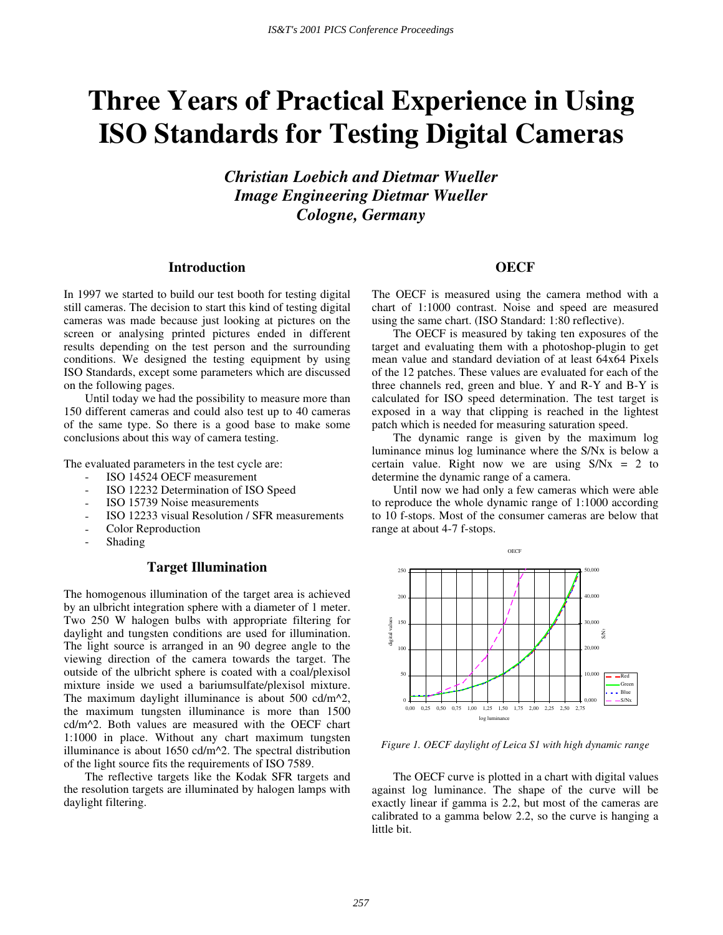# **Three Years of Practical Experience in Using ISO Standards for Testing Digital Cameras**

*Christian Loebich and Dietmar Wueller Image Engineering Dietmar Wueller Cologne, Germany* 

#### **Introduction**

In 1997 we started to build our test booth for testing digital still cameras. The decision to start this kind of testing digital cameras was made because just looking at pictures on the screen or analysing printed pictures ended in different results depending on the test person and the surrounding conditions. We designed the testing equipment by using ISO Standards, except some parameters which are discussed on the following pages.

Until today we had the possibility to measure more than 150 different cameras and could also test up to 40 cameras of the same type. So there is a good base to make some conclusions about this way of camera testing.

The evaluated parameters in the test cycle are:

- ISO 14524 OECF measurement
- ISO 12232 Determination of ISO Speed
- ISO 15739 Noise measurements
- ISO 12233 visual Resolution / SFR measurements
- Color Reproduction
- **Shading**

### **Target Illumination**

The homogenous illumination of the target area is achieved by an ulbricht integration sphere with a diameter of 1 meter. Two 250 W halogen bulbs with appropriate filtering for daylight and tungsten conditions are used for illumination. The light source is arranged in an 90 degree angle to the viewing direction of the camera towards the target. The outside of the ulbricht sphere is coated with a coal/plexisol mixture inside we used a bariumsulfate/plexisol mixture. The maximum daylight illuminance is about 500 cd/m<sup> $\lambda$ </sup>2, the maximum tungsten illuminance is more than 1500 cd/m^2. Both values are measured with the OECF chart 1:1000 in place. Without any chart maximum tungsten illuminance is about 1650 cd/m^2. The spectral distribution of the light source fits the requirements of ISO 7589.

The reflective targets like the Kodak SFR targets and the resolution targets are illuminated by halogen lamps with daylight filtering.

# **OECF**

The OECF is measured using the camera method with a chart of 1:1000 contrast. Noise and speed are measured using the same chart. (ISO Standard: 1:80 reflective).

The OECF is measured by taking ten exposures of the target and evaluating them with a photoshop-plugin to get mean value and standard deviation of at least 64x64 Pixels of the 12 patches. These values are evaluated for each of the three channels red, green and blue. Y and R-Y and B-Y is calculated for ISO speed determination. The test target is exposed in a way that clipping is reached in the lightest patch which is needed for measuring saturation speed.

The dynamic range is given by the maximum log luminance minus log luminance where the S/Nx is below a certain value. Right now we are using  $S/Nx = 2$  to determine the dynamic range of a camera.

Until now we had only a few cameras which were able to reproduce the whole dynamic range of 1:1000 according to 10 f-stops. Most of the consumer cameras are below that range at about 4-7 f-stops.



*Figure 1. OECF daylight of Leica S1 with high dynamic range* 

The OECF curve is plotted in a chart with digital values against log luminance. The shape of the curve will be exactly linear if gamma is 2.2, but most of the cameras are calibrated to a gamma below 2.2, so the curve is hanging a little bit.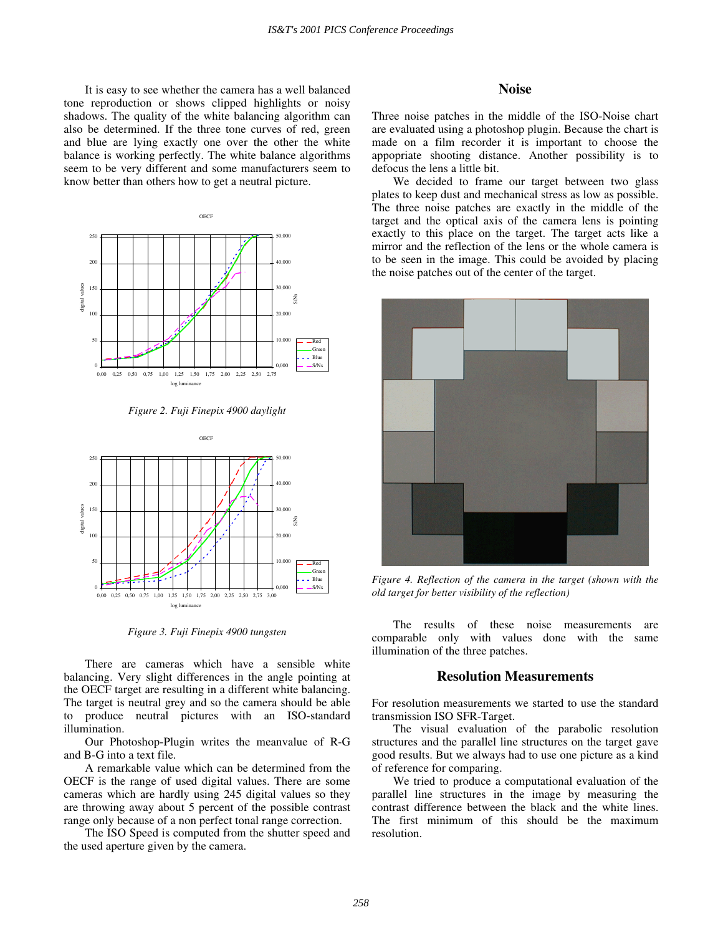It is easy to see whether the camera has a well balanced tone reproduction or shows clipped highlights or noisy shadows. The quality of the white balancing algorithm can also be determined. If the three tone curves of red, green and blue are lying exactly one over the other the white balance is working perfectly. The white balance algorithms seem to be very different and some manufacturers seem to know better than others how to get a neutral picture.



*Figure 2. Fuji Finepix 4900 daylight* 



*Figure 3. Fuji Finepix 4900 tungsten* 

There are cameras which have a sensible white balancing. Very slight differences in the angle pointing at the OECF target are resulting in a different white balancing. The target is neutral grey and so the camera should be able to produce neutral pictures with an ISO-standard illumination.

Our Photoshop-Plugin writes the meanvalue of R-G and B-G into a text file.

A remarkable value which can be determined from the OECF is the range of used digital values. There are some cameras which are hardly using 245 digital values so they are throwing away about 5 percent of the possible contrast range only because of a non perfect tonal range correction.

The ISO Speed is computed from the shutter speed and the used aperture given by the camera.

#### **Noise**

Three noise patches in the middle of the ISO-Noise chart are evaluated using a photoshop plugin. Because the chart is made on a film recorder it is important to choose the appopriate shooting distance. Another possibility is to defocus the lens a little bit.

We decided to frame our target between two glass plates to keep dust and mechanical stress as low as possible. The three noise patches are exactly in the middle of the target and the optical axis of the camera lens is pointing exactly to this place on the target. The target acts like a mirror and the reflection of the lens or the whole camera is to be seen in the image. This could be avoided by placing the noise patches out of the center of the target.



*Figure 4. Reflection of the camera in the target (shown with the old target for better visibility of the reflection)* 

The results of these noise measurements are comparable only with values done with the same illumination of the three patches.

#### **Resolution Measurements**

For resolution measurements we started to use the standard transmission ISO SFR-Target.

The visual evaluation of the parabolic resolution structures and the parallel line structures on the target gave good results. But we always had to use one picture as a kind of reference for comparing.

We tried to produce a computational evaluation of the parallel line structures in the image by measuring the contrast difference between the black and the white lines. The first minimum of this should be the maximum resolution.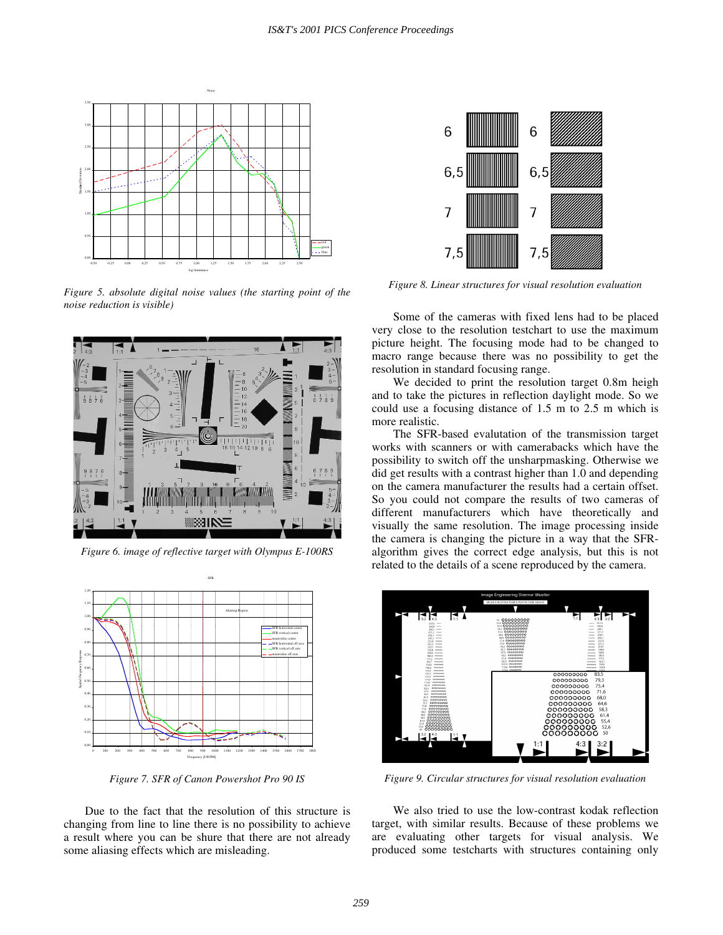

*Figure 5. absolute digital noise values (the starting point of the noise reduction is visible)* 



*Figure 6. image of reflective target with Olympus E-100RS* 



*Figure 7. SFR of Canon Powershot Pro 90 IS* 

Due to the fact that the resolution of this structure is changing from line to line there is no possibility to achieve a result where you can be shure that there are not already some aliasing effects which are misleading.



*Figure 8. Linear structures for visual resolution evaluation* 

Some of the cameras with fixed lens had to be placed very close to the resolution testchart to use the maximum picture height. The focusing mode had to be changed to macro range because there was no possibility to get the resolution in standard focusing range.

We decided to print the resolution target 0.8m heigh and to take the pictures in reflection daylight mode. So we could use a focusing distance of 1.5 m to 2.5 m which is more realistic.

The SFR-based evalutation of the transmission target works with scanners or with camerabacks which have the possibility to switch off the unsharpmasking. Otherwise we did get results with a contrast higher than 1.0 and depending on the camera manufacturer the results had a certain offset. So you could not compare the results of two cameras of different manufacturers which have theoretically and visually the same resolution. The image processing inside the camera is changing the picture in a way that the SFRalgorithm gives the correct edge analysis, but this is not related to the details of a scene reproduced by the camera.



*Figure 9. Circular structures for visual resolution evaluation* 

We also tried to use the low-contrast kodak reflection target, with similar results. Because of these problems we are evaluating other targets for visual analysis. We produced some testcharts with structures containing only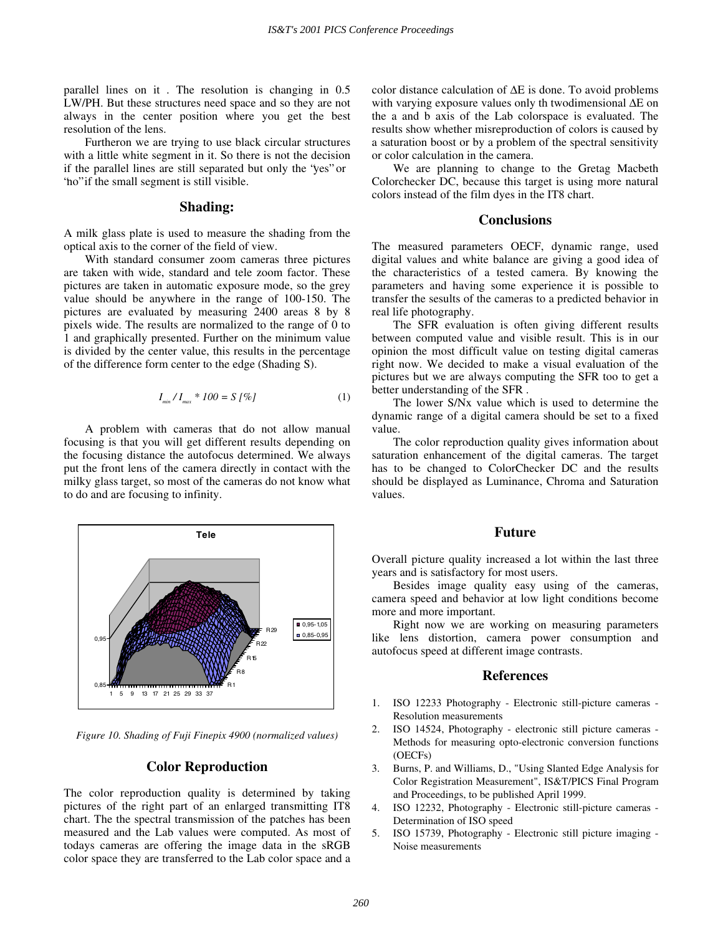parallel lines on it . The resolution is changing in 0.5 LW/PH. But these structures need space and so they are not always in the center position where you get the best resolution of the lens.

Furtheron we are trying to use black circular structures with a little white segment in it. So there is not the decision if the parallel lines are still separated but only the "yes" or " no" if the small segment is still visible.

### **Shading:**

A milk glass plate is used to measure the shading from the optical axis to the corner of the field of view.

With standard consumer zoom cameras three pictures are taken with wide, standard and tele zoom factor. These pictures are taken in automatic exposure mode, so the grey value should be anywhere in the range of 100-150. The pictures are evaluated by measuring 2400 areas 8 by 8 pixels wide. The results are normalized to the range of 0 to 1 and graphically presented. Further on the minimum value is divided by the center value, this results in the percentage of the difference form center to the edge (Shading S).

$$
I_{\min}/I_{\max} * 100 = S [\%]
$$
 (1)

A problem with cameras that do not allow manual focusing is that you will get different results depending on the focusing distance the autofocus determined. We always put the front lens of the camera directly in contact with the milky glass target, so most of the cameras do not know what to do and are focusing to infinity.



*Figure 10. Shading of Fuji Finepix 4900 (normalized values)* 

#### **Color Reproduction**

The color reproduction quality is determined by taking pictures of the right part of an enlarged transmitting IT8 chart. The the spectral transmission of the patches has been measured and the Lab values were computed. As most of todays cameras are offering the image data in the sRGB color space they are transferred to the Lab color space and a color distance calculation of ∆E is done. To avoid problems with varying exposure values only th twodimensional ∆E on the a and b axis of the Lab colorspace is evaluated. The results show whether misreproduction of colors is caused by a saturation boost or by a problem of the spectral sensitivity or color calculation in the camera.

We are planning to change to the Gretag Macbeth Colorchecker DC, because this target is using more natural colors instead of the film dyes in the IT8 chart.

# **Conclusions**

The measured parameters OECF, dynamic range, used digital values and white balance are giving a good idea of the characteristics of a tested camera. By knowing the parameters and having some experience it is possible to transfer the sesults of the cameras to a predicted behavior in real life photography.

The SFR evaluation is often giving different results between computed value and visible result. This is in our opinion the most difficult value on testing digital cameras right now. We decided to make a visual evaluation of the pictures but we are always computing the SFR too to get a better understanding of the SFR .

The lower S/Nx value which is used to determine the dynamic range of a digital camera should be set to a fixed value.

The color reproduction quality gives information about saturation enhancement of the digital cameras. The target has to be changed to ColorChecker DC and the results should be displayed as Luminance, Chroma and Saturation values.

#### **Future**

Overall picture quality increased a lot within the last three years and is satisfactory for most users.

Besides image quality easy using of the cameras, camera speed and behavior at low light conditions become more and more important.

Right now we are working on measuring parameters like lens distortion, camera power consumption and autofocus speed at different image contrasts.

#### **References**

- 1. ISO 12233 Photography Electronic still-picture cameras Resolution measurements
- 2. ISO 14524, Photography electronic still picture cameras Methods for measuring opto-electronic conversion functions (OECFs)
- 3. Burns, P. and Williams, D., "Using Slanted Edge Analysis for Color Registration Measurement", IS&T/PICS Final Program and Proceedings, to be published April 1999.
- 4. ISO 12232, Photography Electronic still-picture cameras Determination of ISO speed
- 5. ISO 15739, Photography Electronic still picture imaging Noise measurements